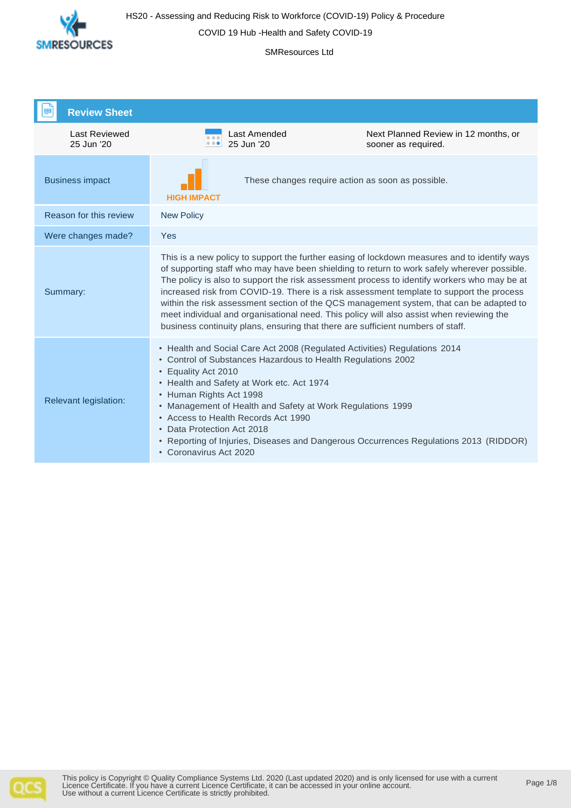

COVID 19 Hub -Health and Safety COVID-19

#### SMResources Ltd

| <b>Review Sheet</b>                |                                                                                                                                                                                                                                                                                                                                                                                                                                                                                                                                                                                                                                                                  |                                                             |
|------------------------------------|------------------------------------------------------------------------------------------------------------------------------------------------------------------------------------------------------------------------------------------------------------------------------------------------------------------------------------------------------------------------------------------------------------------------------------------------------------------------------------------------------------------------------------------------------------------------------------------------------------------------------------------------------------------|-------------------------------------------------------------|
| <b>Last Reviewed</b><br>25 Jun '20 | Last Amended<br>0.00<br>25 Jun '20<br>0.00                                                                                                                                                                                                                                                                                                                                                                                                                                                                                                                                                                                                                       | Next Planned Review in 12 months, or<br>sooner as required. |
| <b>Business impact</b>             | These changes require action as soon as possible.<br><b>HIGH IMPACT</b>                                                                                                                                                                                                                                                                                                                                                                                                                                                                                                                                                                                          |                                                             |
| Reason for this review             | <b>New Policy</b>                                                                                                                                                                                                                                                                                                                                                                                                                                                                                                                                                                                                                                                |                                                             |
| Were changes made?                 | Yes                                                                                                                                                                                                                                                                                                                                                                                                                                                                                                                                                                                                                                                              |                                                             |
| Summary:                           | This is a new policy to support the further easing of lockdown measures and to identify ways<br>of supporting staff who may have been shielding to return to work safely wherever possible.<br>The policy is also to support the risk assessment process to identify workers who may be at<br>increased risk from COVID-19. There is a risk assessment template to support the process<br>within the risk assessment section of the QCS management system, that can be adapted to<br>meet individual and organisational need. This policy will also assist when reviewing the<br>business continuity plans, ensuring that there are sufficient numbers of staff. |                                                             |
| Relevant legislation:              | • Health and Social Care Act 2008 (Regulated Activities) Regulations 2014<br>• Control of Substances Hazardous to Health Regulations 2002<br>• Equality Act 2010<br>• Health and Safety at Work etc. Act 1974<br>• Human Rights Act 1998<br>• Management of Health and Safety at Work Regulations 1999<br>• Access to Health Records Act 1990<br>• Data Protection Act 2018<br>• Reporting of Injuries, Diseases and Dangerous Occurrences Regulations 2013 (RIDDOR)<br>• Coronavirus Act 2020                                                                                                                                                                   |                                                             |

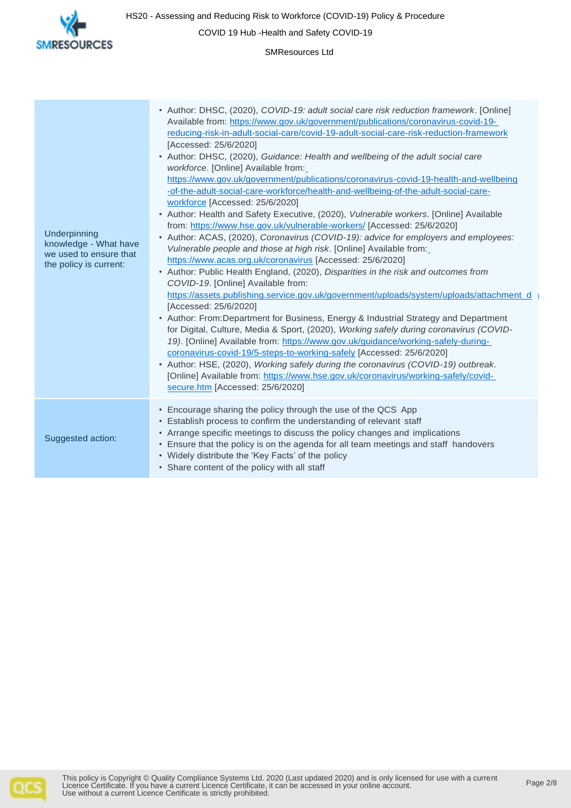

COVID 19 Hub -Health and Safety COVID-19

SMResources Ltd

| Underpinning<br>knowledge - What have<br>we used to ensure that<br>the policy is current: | • Author: DHSC, (2020), COVID-19: adult social care risk reduction framework. [Online]<br>Available from: https://www.gov.uk/government/publications/coronavirus-covid-19-<br>reducing-risk-in-adult-social-care/covid-19-adult-social-care-risk-reduction-framework<br>[Accessed: 25/6/2020]<br>• Author: DHSC, (2020), Guidance: Health and wellbeing of the adult social care<br>workforce. [Online] Available from:<br>https://www.gov.uk/government/publications/coronavirus-covid-19-health-and-wellbeing<br>-of-the-adult-social-care-workforce/health-and-wellbeing-of-the-adult-social-care-<br>workforce [Accessed: 25/6/2020]<br>• Author: Health and Safety Executive, (2020), Vulnerable workers. [Online] Available<br>from: https://www.hse.gov.uk/vulnerable-workers/ [Accessed: 25/6/2020]<br>• Author: ACAS, (2020), Coronavirus (COVID-19): advice for employers and employees:<br>Vulnerable people and those at high risk. [Online] Available from:<br>https://www.acas.org.uk/coronavirus [Accessed: 25/6/2020]<br>• Author: Public Health England, (2020), Disparities in the risk and outcomes from<br>COVID-19. [Online] Available from:<br>https://assets.publishing.service.gov.uk/government/uploads/system/uploads/attachment_d_u<br>[Accessed: 25/6/2020]<br>• Author: From:Department for Business, Energy & Industrial Strategy and Department<br>for Digital, Culture, Media & Sport, (2020), Working safely during coronavirus (COVID-<br>19). [Online] Available from: https://www.gov.uk/guidance/working-safely-during-<br>coronavirus-covid-19/5-steps-to-working-safely [Accessed: 25/6/2020]<br>• Author: HSE, (2020), Working safely during the coronavirus (COVID-19) outbreak.<br>[Online] Available from: https://www.hse.gov.uk/coronavirus/working-safely/covid-<br>secure.htm [Accessed: 25/6/2020] |
|-------------------------------------------------------------------------------------------|----------------------------------------------------------------------------------------------------------------------------------------------------------------------------------------------------------------------------------------------------------------------------------------------------------------------------------------------------------------------------------------------------------------------------------------------------------------------------------------------------------------------------------------------------------------------------------------------------------------------------------------------------------------------------------------------------------------------------------------------------------------------------------------------------------------------------------------------------------------------------------------------------------------------------------------------------------------------------------------------------------------------------------------------------------------------------------------------------------------------------------------------------------------------------------------------------------------------------------------------------------------------------------------------------------------------------------------------------------------------------------------------------------------------------------------------------------------------------------------------------------------------------------------------------------------------------------------------------------------------------------------------------------------------------------------------------------------------------------------------------------------------------------------------------------------------------------------------------|
| Suggested action:                                                                         | • Encourage sharing the policy through the use of the QCS App<br>• Establish process to confirm the understanding of relevant staff<br>• Arrange specific meetings to discuss the policy changes and implications<br>• Ensure that the policy is on the agenda for all team meetings and staff handovers<br>• Widely distribute the 'Key Facts' of the policy<br>• Share content of the policy with all staff                                                                                                                                                                                                                                                                                                                                                                                                                                                                                                                                                                                                                                                                                                                                                                                                                                                                                                                                                                                                                                                                                                                                                                                                                                                                                                                                                                                                                                      |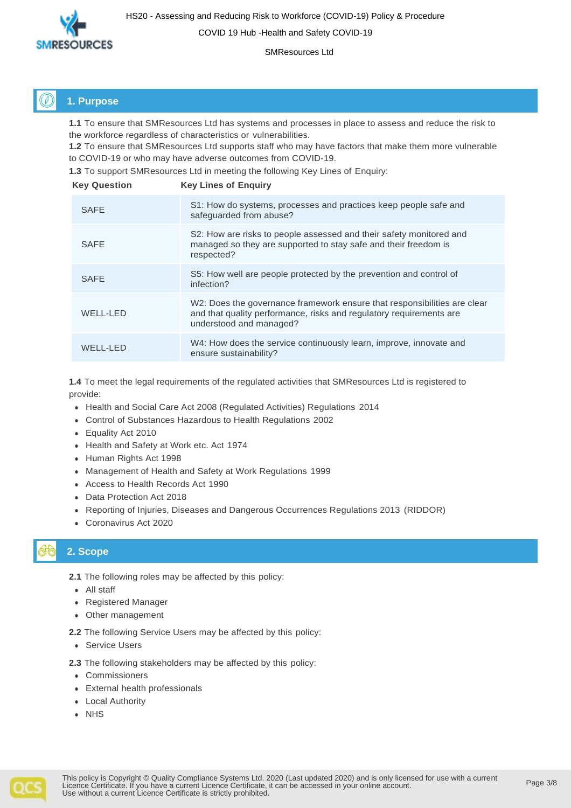

COVID 19 Hub -Health and Safety COVID-19

SMResources Ltd

## **1. Purpose**

**1.1** To ensure that SMResources Ltd has systems and processes in place to assess and reduce the risk to the workforce regardless of characteristics or vulnerabilities.

**1.2** To ensure that SMResources Ltd supports staff who may have factors that make them more vulnerable to COVID-19 or who may have adverse outcomes from COVID-19.

**1.3** To support SMResources Ltd in meeting the following Key Lines of Enquiry:

| <b>Key Question</b> | <b>Key Lines of Enguiry</b>                                                                                                                                                |
|---------------------|----------------------------------------------------------------------------------------------------------------------------------------------------------------------------|
| <b>SAFE</b>         | S1: How do systems, processes and practices keep people safe and<br>safeguarded from abuse?                                                                                |
| <b>SAFE</b>         | S2: How are risks to people assessed and their safety monitored and<br>managed so they are supported to stay safe and their freedom is<br>respected?                       |
| <b>SAFE</b>         | S5: How well are people protected by the prevention and control of<br>infection?                                                                                           |
| WELL-LED            | W2: Does the governance framework ensure that responsibilities are clear<br>and that quality performance, risks and regulatory requirements are<br>understood and managed? |
| WELL-LED            | W4: How does the service continuously learn, improve, innovate and<br>ensure sustainability?                                                                               |

**1.4** To meet the legal requirements of the regulated activities that SMResources Ltd is registered to provide:

- ⚫ Health and Social Care Act 2008 (Regulated Activities) Regulations 2014
- ⚫ Control of Substances Hazardous to Health Regulations 2002
- ⚫ Equality Act 2010
- ⚫ Health and Safety at Work etc. Act 1974
- ⚫ Human Rights Act 1998
- ⚫ Management of Health and Safety at Work Regulations 1999
- ⚫ Access to Health Records Act 1990
- ⚫ Data Protection Act 2018
- ⚫ Reporting of Injuries, Diseases and Dangerous Occurrences Regulations 2013 (RIDDOR)
- ⚫ Coronavirus Act 2020

## **2. Scope**

**2.1** The following roles may be affected by this policy:

- ⚫ All staff
- ⚫ Registered Manager
- ⚫ Other management

**2.2** The following Service Users may be affected by this policy:

⚫ Service Users

**2.3** The following stakeholders may be affected by this policy:

- ⚫ Commissioners
- ⚫ External health professionals
- ⚫ Local Authority
- ⚫ NHS

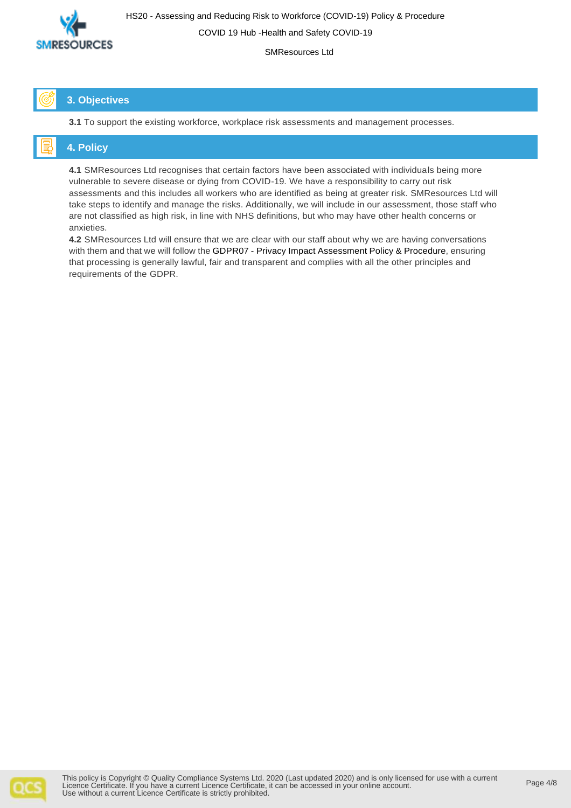

COVID 19 Hub -Health and Safety COVID-19

SMResources Ltd

## **3. Objectives**

**3.1** To support the existing workforce, workplace risk assessments and management processes.

## **4. Policy**

**4.1** SMResources Ltd recognises that certain factors have been associated with individuals being more vulnerable to severe disease or dying from COVID-19. We have a responsibility to carry out risk assessments and this includes all workers who are identified as being at greater risk. SMResources Ltd will take steps to identify and manage the risks. Additionally, we will include in our assessment, those staff who are not classified as high risk, in line with NHS definitions, but who may have other health concerns or anxieties.

**4.2** SMResources Ltd will ensure that we are clear with our staff about why we are having conversations with them and that we will follow the GDPR07 - Privacy Impact Assessment Policy & Procedure, ensuring that processing is generally lawful, fair and transparent and complies with all the other principles and requirements of the GDPR.

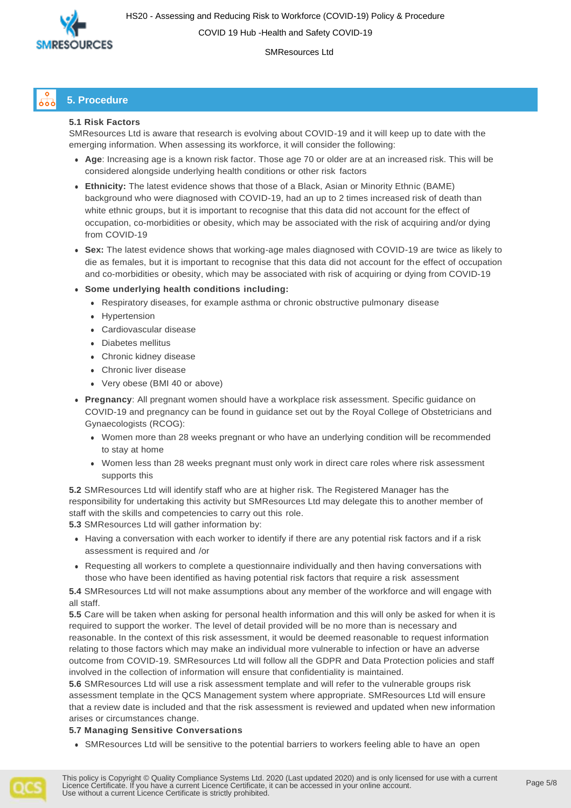

SMResources Ltd

#### **5. Procedure** $\delta$ od

### **5.1 Risk Factors**

SMResources Ltd is aware that research is evolving about COVID-19 and it will keep up to date with the emerging information. When assessing its workforce, it will consider the following:

- ⚫ **Age**: Increasing age is a known risk factor. Those age 70 or older are at an increased risk. This will be considered alongside underlying health conditions or other risk factors
- ⚫ **Ethnicity:** The latest evidence shows that those of a Black, Asian or Minority Ethnic (BAME) background who were diagnosed with COVID-19, had an up to 2 times increased risk of death than white ethnic groups, but it is important to recognise that this data did not account for the effect of occupation, co-morbidities or obesity, which may be associated with the risk of acquiring and/or dying from COVID-19
- ⚫ **Sex:** The latest evidence shows that working-age males diagnosed with COVID-19 are twice as likely to die as females, but it is important to recognise that this data did not account for the effect of occupation and co-morbidities or obesity, which may be associated with risk of acquiring or dying from COVID-19
- ⚫ **Some underlying health conditions including:**
	- ⚫ Respiratory diseases, for example asthma or chronic obstructive pulmonary disease
	- ⚫ Hypertension
	- ⚫ Cardiovascular disease
	- ⚫ Diabetes mellitus
	- ⚫ Chronic kidney disease
	- ⚫ Chronic liver disease
	- ⚫ Very obese (BMI 40 or above)
- ⚫ **Pregnancy**: All pregnant women should have a workplace risk assessment. Specific guidance on COVID-19 and pregnancy can be found in guidance set out by the Royal College of Obstetricians and Gynaecologists (RCOG):
	- ⚫ Women more than 28 weeks pregnant or who have an underlying condition will be recommended to stay at home
	- ⚫ Women less than 28 weeks pregnant must only work in direct care roles where risk assessment supports this

**5.2** SMResources Ltd will identify staff who are at higher risk. The Registered Manager has the responsibility for undertaking this activity but SMResources Ltd may delegate this to another member of staff with the skills and competencies to carry out this role.

**5.3** SMResources Ltd will gather information by:

- ⚫ Having a conversation with each worker to identify if there are any potential risk factors and if a risk assessment is required and /or
- ⚫ Requesting all workers to complete a questionnaire individually and then having conversations with those who have been identified as having potential risk factors that require a risk assessment

**5.4** SMResources Ltd will not make assumptions about any member of the workforce and will engage with all staff.

**5.5** Care will be taken when asking for personal health information and this will only be asked for when it is required to support the worker. The level of detail provided will be no more than is necessary and reasonable. In the context of this risk assessment, it would be deemed reasonable to request information relating to those factors which may make an individual more vulnerable to infection or have an adverse outcome from COVID-19. SMResources Ltd will follow all the GDPR and Data Protection policies and staff involved in the collection of information will ensure that confidentiality is maintained.

**5.6** SMResources Ltd will use a risk assessment template and will refer to the vulnerable groups risk assessment template in the QCS Management system where appropriate. SMResources Ltd will ensure that a review date is included and that the risk assessment is reviewed and updated when new information arises or circumstances change.

#### **5.7 Managing Sensitive Conversations**

⚫ SMResources Ltd will be sensitive to the potential barriers to workers feeling able to have an open

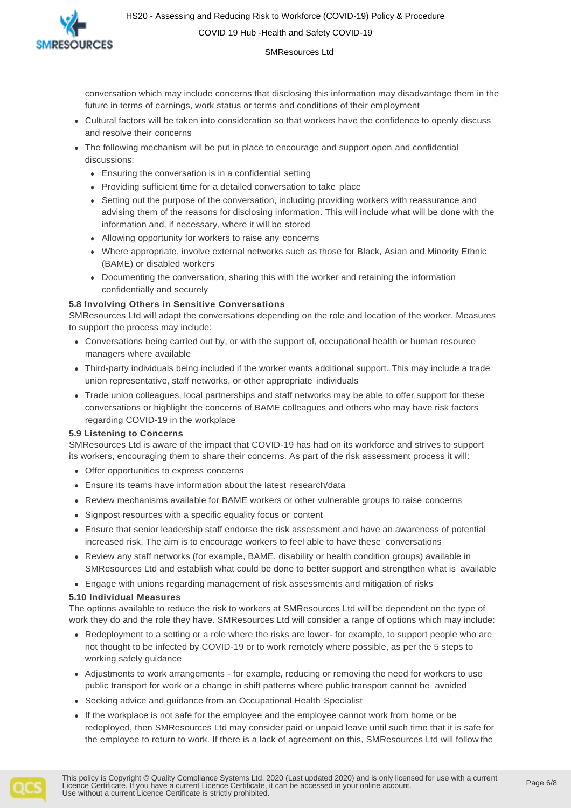HS20 - Assessing and Reducing Risk to Workforce (COVID-19) Policy & Procedure COVID 19 Hub -Health and Safety COVID-19



SMResources Ltd

conversation which may include concerns that disclosing this information may disadvantage them in the future in terms of earnings, work status or terms and conditions of their employment

- ⚫ Cultural factors will be taken into consideration so that workers have the confidence to openly discuss and resolve their concerns
- ⚫ The following mechanism will be put in place to encourage and support open and confidential discussions:
	- ⚫ Ensuring the conversation is in a confidential setting
	- ⚫ Providing sufficient time for a detailed conversation to take place
	- ⚫ Setting out the purpose of the conversation, including providing workers with reassurance and advising them of the reasons for disclosing information. This will include what will be done with the information and, if necessary, where it will be stored
	- ⚫ Allowing opportunity for workers to raise any concerns
	- ⚫ Where appropriate, involve external networks such as those for Black, Asian and Minority Ethnic (BAME) or disabled workers
	- ⚫ Documenting the conversation, sharing this with the worker and retaining the information confidentially and securely

#### **5.8 Involving Others in Sensitive Conversations**

SMResources Ltd will adapt the conversations depending on the role and location of the worker. Measures to support the process may include:

- ⚫ Conversations being carried out by, or with the support of, occupational health or human resource managers where available
- ⚫ Third-party individuals being included if the worker wants additional support. This may include a trade union representative, staff networks, or other appropriate individuals
- ⚫ Trade union colleagues, local partnerships and staff networks may be able to offer support for these conversations or highlight the concerns of BAME colleagues and others who may have risk factors regarding COVID-19 in the workplace

#### **5.9 Listening to Concerns**

SMResources Ltd is aware of the impact that COVID-19 has had on its workforce and strives to support its workers, encouraging them to share their concerns. As part of the risk assessment process it will:

- ⚫ Offer opportunities to express concerns
- ⚫ Ensure its teams have information about the latest research/data
- ⚫ Review mechanisms available for BAME workers or other vulnerable groups to raise concerns
- ⚫ Signpost resources with a specific equality focus or content
- ⚫ Ensure that senior leadership staff endorse the risk assessment and have an awareness of potential increased risk. The aim is to encourage workers to feel able to have these conversations
- ⚫ Review any staff networks (for example, BAME, disability or health condition groups) available in SMResources Ltd and establish what could be done to better support and strengthen what is available
- ⚫ Engage with unions regarding management of risk assessments and mitigation of risks

#### **5.10 Individual Measures**

The options available to reduce the risk to workers at SMResources Ltd will be dependent on the type of work they do and the role they have. SMResources Ltd will consider a range of options which may include:

- ⚫ Redeployment to a setting or a role where the risks are lower- for example, to support people who are not thought to be infected by COVID-19 or to work remotely where possible, as per the 5 steps to working safely guidance
- ⚫ Adjustments to work arrangements for example, reducing or removing the need for workers to use public transport for work or a change in shift patterns where public transport cannot be avoided
- ⚫ Seeking advice and guidance from an Occupational Health Specialist
- ⚫ If the workplace is not safe for the employee and the employee cannot work from home or be redeployed, then SMResources Ltd may consider paid or unpaid leave until such time that it is safe for the employee to return to work. If there is a lack of agreement on this, SMResources Ltd will follow the

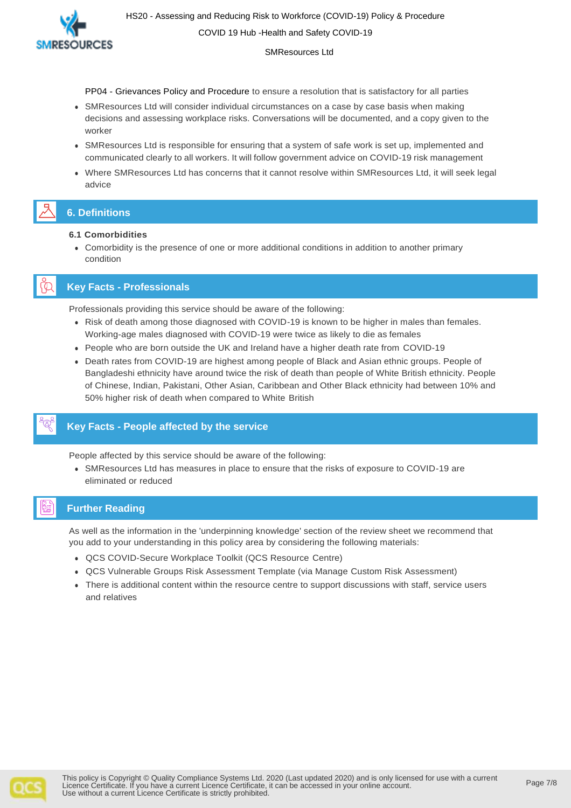HS20 - Assessing and Reducing Risk to Workforce (COVID-19) Policy & Procedure COVID 19 Hub -Health and Safety COVID-19



SMResources Ltd

PP04 - Grievances Policy and Procedure to ensure a resolution that is satisfactory for all parties

- ⚫ SMResources Ltd will consider individual circumstances on a case by case basis when making decisions and assessing workplace risks. Conversations will be documented, and a copy given to the worker
- ⚫ SMResources Ltd is responsible for ensuring that a system of safe work is set up, implemented and communicated clearly to all workers. It will follow government advice on COVID-19 risk management
- ⚫ Where SMResources Ltd has concerns that it cannot resolve within SMResources Ltd, it will seek legal advice

# **6. Definitions**

- **6.1 Comorbidities**
	- ⚫ Comorbidity is the presence of one or more additional conditions in addition to another primary condition

## **Key Facts - Professionals**

Professionals providing this service should be aware of the following:

- ⚫ Risk of death among those diagnosed with COVID-19 is known to be higher in males than females. Working-age males diagnosed with COVID-19 were twice as likely to die as females
- ⚫ People who are born outside the UK and Ireland have a higher death rate from COVID-19
- ⚫ Death rates from COVID-19 are highest among people of Black and Asian ethnic groups. People of Bangladeshi ethnicity have around twice the risk of death than people of White British ethnicity. People of Chinese, Indian, Pakistani, Other Asian, Caribbean and Other Black ethnicity had between 10% and 50% higher risk of death when compared to White British

## **Key Facts - People affected by the service**

People affected by this service should be aware of the following:

⚫ SMResources Ltd has measures in place to ensure that the risks of exposure to COVID-19 are eliminated or reduced

## **Further Reading**

As well as the information in the 'underpinning knowledge' section of the review sheet we recommend that you add to your understanding in this policy area by considering the following materials:

- ⚫ QCS COVID-Secure Workplace Toolkit (QCS Resource Centre)
- ⚫ QCS Vulnerable Groups Risk Assessment Template (via Manage Custom Risk Assessment)
- ⚫ There is additional content within the resource centre to support discussions with staff, service users and relatives